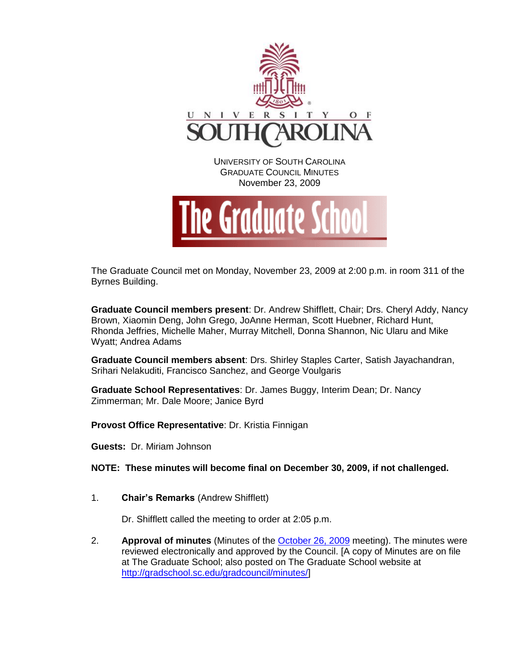



The Graduate Council met on Monday, November 23, 2009 at 2:00 p.m. in room 311 of the Byrnes Building.

**Graduate Council members present**: Dr. Andrew Shifflett, Chair; Drs. Cheryl Addy, Nancy Brown, Xiaomin Deng, John Grego, JoAnne Herman, Scott Huebner, Richard Hunt, Rhonda Jeffries, Michelle Maher, Murray Mitchell, Donna Shannon, Nic Ularu and Mike Wyatt; Andrea Adams

**Graduate Council members absent**: Drs. Shirley Staples Carter, Satish Jayachandran, Srihari Nelakuditi, Francisco Sanchez, and George Voulgaris

**Graduate School Representatives**: Dr. James Buggy, Interim Dean; Dr. Nancy Zimmerman; Mr. Dale Moore; Janice Byrd

**Provost Office Representative**: Dr. Kristia Finnigan

**Guests:** Dr. Miriam Johnson

**NOTE: These minutes will become final on December 30, 2009, if not challenged.**

1. **Chair's Remarks** (Andrew Shifflett)

Dr. Shifflett called the meeting to order at 2:05 p.m.

2. **Approval of minutes** (Minutes of the [October 26, 2009](http://gradschool.sc.edu/gradcouncil/docs/GCMinutes%20102609.pdf) meeting). The minutes were reviewed electronically and approved by the Council. [A copy of Minutes are on file at The Graduate School; also posted on The Graduate School website at [http://gradschool.sc.edu/gradcouncil/minutes/\]](http://gradschool.sc.edu/gradcouncil/minutes/)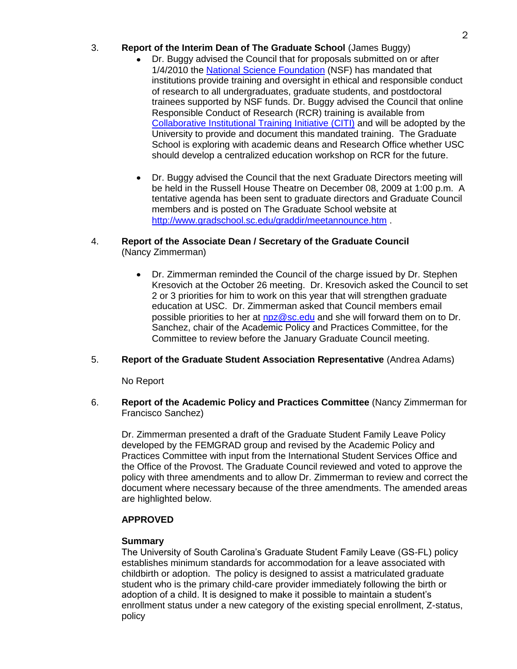## 3. **Report of the Interim Dean of The Graduate School** (James Buggy)

- Dr. Buggy advised the Council that for proposals submitted on or after 1/4/2010 the [National Science Foundation](http://www.nsf.gov/pubs/policydocs/pappguide/nsf10_1/aag_index.jsp) (NSF) has mandated that institutions provide training and oversight in ethical and responsible conduct of research to all undergraduates, graduate students, and postdoctoral trainees supported by NSF funds. Dr. Buggy advised the Council that online Responsible Conduct of Research (RCR) training is available from [Collaborative Institutional Training Initiative \(CITI\)](http://www.orc.research.sc.edu/PDF/USC_HS_RCR_Training_rvd_081409.pdf) and will be adopted by the University to provide and document this mandated training. The Graduate School is exploring with academic deans and Research Office whether USC should develop a centralized education workshop on RCR for the future.
- Dr. Buggy advised the Council that the next Graduate Directors meeting will be held in the Russell House Theatre on December 08, 2009 at 1:00 p.m. A tentative agenda has been sent to graduate directors and Graduate Council members and is posted on The Graduate School website at <http://www.gradschool.sc.edu/graddir/meetannounce.htm> .
- 4. **Report of the Associate Dean / Secretary of the Graduate Council**  (Nancy Zimmerman)
	- Dr. Zimmerman reminded the Council of the charge issued by Dr. Stephen  $\bullet$ Kresovich at the October 26 meeting. Dr. Kresovich asked the Council to set 2 or 3 priorities for him to work on this year that will strengthen graduate education at USC. Dr. Zimmerman asked that Council members email possible priorities to her at [npz@sc.edu](mailto:npz@sc.edu) and she will forward them on to Dr. Sanchez, chair of the Academic Policy and Practices Committee, for the Committee to review before the January Graduate Council meeting.
- 5. **Report of the Graduate Student Association Representative** (Andrea Adams)

No Report

6. **Report of the Academic Policy and Practices Committee** (Nancy Zimmerman for Francisco Sanchez)

Dr. Zimmerman presented a draft of the Graduate Student Family Leave Policy developed by the FEMGRAD group and revised by the Academic Policy and Practices Committee with input from the International Student Services Office and the Office of the Provost. The Graduate Council reviewed and voted to approve the policy with three amendments and to allow Dr. Zimmerman to review and correct the document where necessary because of the three amendments. The amended areas are highlighted below.

## **APPROVED**

## **Summary**

The University of South Carolina's Graduate Student Family Leave (GS-FL) policy establishes minimum standards for accommodation for a leave associated with childbirth or adoption. The policy is designed to assist a matriculated graduate student who is the primary child-care provider immediately following the birth or adoption of a child. It is designed to make it possible to maintain a student's enrollment status under a new category of the existing special enrollment, Z-status, policy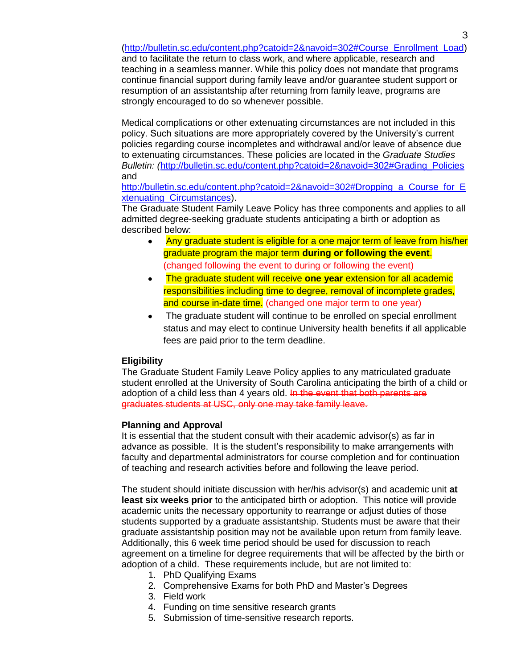[\(http://bulletin.sc.edu/content.php?catoid=2&navoid=302#Course\\_Enrollment\\_Load\)](http://bulletin.sc.edu/content.php?catoid=2&navoid=302#Course_Enrollment_Load)

and to facilitate the return to class work, and where applicable, research and teaching in a seamless manner. While this policy does not mandate that programs continue financial support during family leave and/or guarantee student support or resumption of an assistantship after returning from family leave, programs are strongly encouraged to do so whenever possible.

Medical complications or other extenuating circumstances are not included in this policy. Such situations are more appropriately covered by the University's current policies regarding course incompletes and withdrawal and/or leave of absence due to extenuating circumstances. These policies are located in the *Graduate Studies Bulletin: (*[http://bulletin.sc.edu/content.php?catoid=2&navoid=302#Grading\\_Policies](http://bulletin.sc.edu/content.php?catoid=2&navoid=302#Grading_Policies) and

[http://bulletin.sc.edu/content.php?catoid=2&navoid=302#Dropping\\_a\\_Course\\_for\\_E](http://bulletin.sc.edu/content.php?catoid=2&navoid=302#Dropping_a_Course_for_Extenuating_Circumstances) [xtenuating\\_Circumstances\)](http://bulletin.sc.edu/content.php?catoid=2&navoid=302#Dropping_a_Course_for_Extenuating_Circumstances).

The Graduate Student Family Leave Policy has three components and applies to all admitted degree-seeking graduate students anticipating a birth or adoption as described below:

- Any graduate student is eligible for a one major term of leave from his/her graduate program the major term **during or following the event**. (changed following the event to during or following the event)
- The graduate student will receive **one year** extension for all academic  $\bullet$ responsibilities including time to degree, removal of incomplete grades, and course in-date time. (changed one major term to one year)
- The graduate student will continue to be enrolled on special enrollment  $\bullet$ status and may elect to continue University health benefits if all applicable fees are paid prior to the term deadline.

## **Eligibility**

The Graduate Student Family Leave Policy applies to any matriculated graduate student enrolled at the University of South Carolina anticipating the birth of a child or adoption of a child less than 4 years old. In the event that both parents are graduates students at USC, only one may take family leave.

## **Planning and Approval**

It is essential that the student consult with their academic advisor(s) as far in advance as possible. It is the student's responsibility to make arrangements with faculty and departmental administrators for course completion and for continuation of teaching and research activities before and following the leave period.

The student should initiate discussion with her/his advisor(s) and academic unit **at least six weeks prior** to the anticipated birth or adoption. This notice will provide academic units the necessary opportunity to rearrange or adjust duties of those students supported by a graduate assistantship. Students must be aware that their graduate assistantship position may not be available upon return from family leave. Additionally, this 6 week time period should be used for discussion to reach agreement on a timeline for degree requirements that will be affected by the birth or adoption of a child. These requirements include, but are not limited to:

- 1. PhD Qualifying Exams
- 2. Comprehensive Exams for both PhD and Master's Degrees
- 3. Field work
- 4. Funding on time sensitive research grants
- 5. Submission of time-sensitive research reports.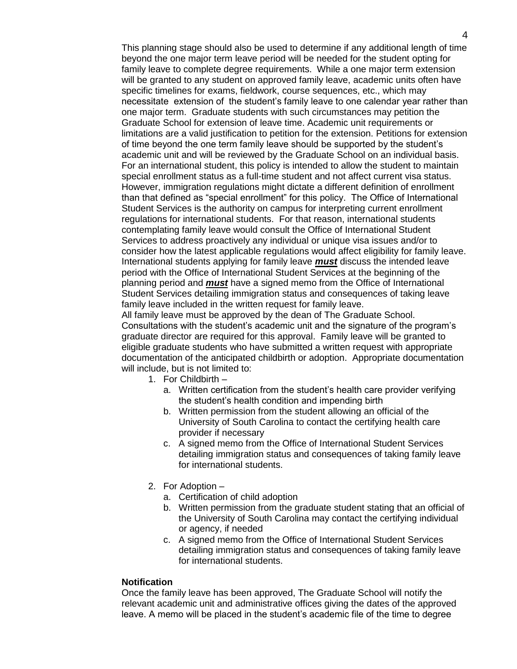This planning stage should also be used to determine if any additional length of time beyond the one major term leave period will be needed for the student opting for family leave to complete degree requirements. While a one major term extension will be granted to any student on approved family leave, academic units often have specific timelines for exams, fieldwork, course sequences, etc., which may necessitate extension of the student's family leave to one calendar year rather than one major term. Graduate students with such circumstances may petition the Graduate School for extension of leave time. Academic unit requirements or limitations are a valid justification to petition for the extension. Petitions for extension of time beyond the one term family leave should be supported by the student's academic unit and will be reviewed by the Graduate School on an individual basis. For an international student, this policy is intended to allow the student to maintain special enrollment status as a full-time student and not affect current visa status. However, immigration regulations might dictate a different definition of enrollment than that defined as "special enrollment" for this policy. The Office of International Student Services is the authority on campus for interpreting current enrollment regulations for international students. For that reason, international students contemplating family leave would consult the Office of International Student Services to address proactively any individual or unique visa issues and/or to consider how the latest applicable regulations would affect eligibility for family leave. International students applying for family leave *must* discuss the intended leave period with the Office of International Student Services at the beginning of the planning period and *must* have a signed memo from the Office of International Student Services detailing immigration status and consequences of taking leave family leave included in the written request for family leave.

All family leave must be approved by the dean of The Graduate School. Consultations with the student's academic unit and the signature of the program's graduate director are required for this approval. Family leave will be granted to eligible graduate students who have submitted a written request with appropriate documentation of the anticipated childbirth or adoption. Appropriate documentation will include, but is not limited to:

- 1. For Childbirth
	- a. Written certification from the student's health care provider verifying the student's health condition and impending birth
	- b. Written permission from the student allowing an official of the University of South Carolina to contact the certifying health care provider if necessary
	- c. A signed memo from the Office of International Student Services detailing immigration status and consequences of taking family leave for international students.
- 2. For Adoption
	- a. Certification of child adoption
	- b. Written permission from the graduate student stating that an official of the University of South Carolina may contact the certifying individual or agency, if needed
	- c. A signed memo from the Office of International Student Services detailing immigration status and consequences of taking family leave for international students.

#### **Notification**

Once the family leave has been approved, The Graduate School will notify the relevant academic unit and administrative offices giving the dates of the approved leave. A memo will be placed in the student's academic file of the time to degree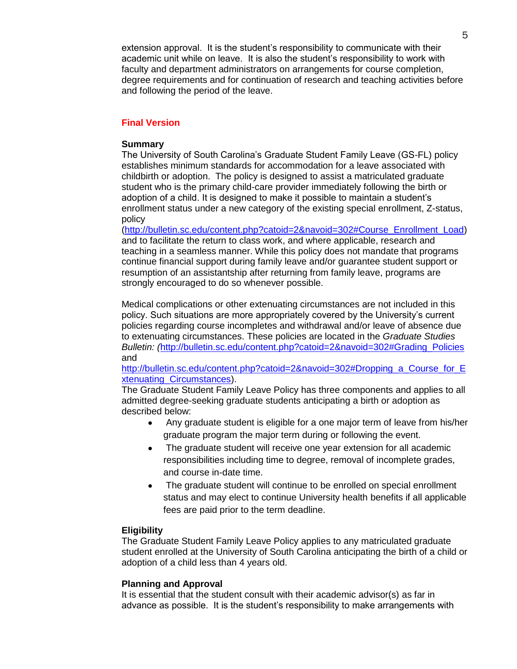extension approval. It is the student's responsibility to communicate with their academic unit while on leave. It is also the student's responsibility to work with faculty and department administrators on arrangements for course completion, degree requirements and for continuation of research and teaching activities before and following the period of the leave.

#### **Final Version**

#### **Summary**

The University of South Carolina's Graduate Student Family Leave (GS-FL) policy establishes minimum standards for accommodation for a leave associated with childbirth or adoption. The policy is designed to assist a matriculated graduate student who is the primary child-care provider immediately following the birth or adoption of a child. It is designed to make it possible to maintain a student's enrollment status under a new category of the existing special enrollment, Z-status, policy

[\(http://bulletin.sc.edu/content.php?catoid=2&navoid=302#Course\\_Enrollment\\_Load\)](http://bulletin.sc.edu/content.php?catoid=2&navoid=302#Course_Enrollment_Load) and to facilitate the return to class work, and where applicable, research and teaching in a seamless manner. While this policy does not mandate that programs continue financial support during family leave and/or guarantee student support or resumption of an assistantship after returning from family leave, programs are strongly encouraged to do so whenever possible.

Medical complications or other extenuating circumstances are not included in this policy. Such situations are more appropriately covered by the University's current policies regarding course incompletes and withdrawal and/or leave of absence due to extenuating circumstances. These policies are located in the *Graduate Studies Bulletin: (*[http://bulletin.sc.edu/content.php?catoid=2&navoid=302#Grading\\_Policies](http://bulletin.sc.edu/content.php?catoid=2&navoid=302#Grading_Policies) and

[http://bulletin.sc.edu/content.php?catoid=2&navoid=302#Dropping\\_a\\_Course\\_for\\_E](http://bulletin.sc.edu/content.php?catoid=2&navoid=302#Dropping_a_Course_for_Extenuating_Circumstances) [xtenuating\\_Circumstances\)](http://bulletin.sc.edu/content.php?catoid=2&navoid=302#Dropping_a_Course_for_Extenuating_Circumstances).

The Graduate Student Family Leave Policy has three components and applies to all admitted degree-seeking graduate students anticipating a birth or adoption as described below:

- Any graduate student is eligible for a one major term of leave from his/her  $\bullet$ graduate program the major term during or following the event.
- The graduate student will receive one year extension for all academic  $\bullet$ responsibilities including time to degree, removal of incomplete grades, and course in-date time.
- The graduate student will continue to be enrolled on special enrollment  $\bullet$ status and may elect to continue University health benefits if all applicable fees are paid prior to the term deadline.

#### **Eligibility**

The Graduate Student Family Leave Policy applies to any matriculated graduate student enrolled at the University of South Carolina anticipating the birth of a child or adoption of a child less than 4 years old.

#### **Planning and Approval**

It is essential that the student consult with their academic advisor(s) as far in advance as possible. It is the student's responsibility to make arrangements with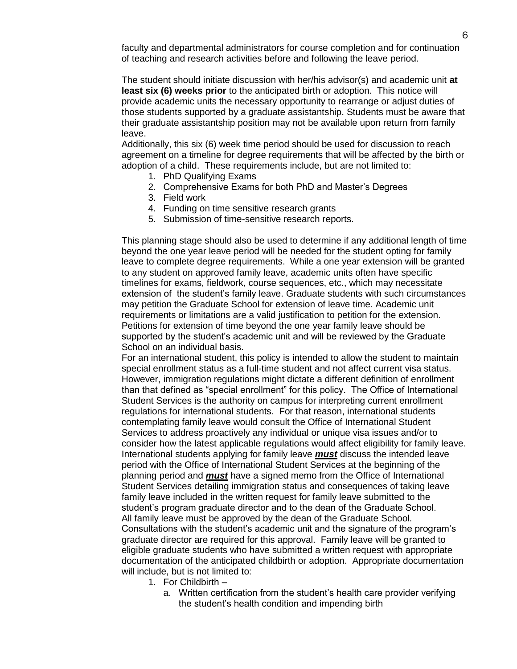faculty and departmental administrators for course completion and for continuation of teaching and research activities before and following the leave period.

The student should initiate discussion with her/his advisor(s) and academic unit **at least six (6) weeks prior** to the anticipated birth or adoption. This notice will provide academic units the necessary opportunity to rearrange or adjust duties of those students supported by a graduate assistantship. Students must be aware that their graduate assistantship position may not be available upon return from family leave.

Additionally, this six (6) week time period should be used for discussion to reach agreement on a timeline for degree requirements that will be affected by the birth or adoption of a child. These requirements include, but are not limited to:

- 1. PhD Qualifying Exams
- 2. Comprehensive Exams for both PhD and Master's Degrees
- 3. Field work
- 4. Funding on time sensitive research grants
- 5. Submission of time-sensitive research reports.

This planning stage should also be used to determine if any additional length of time beyond the one year leave period will be needed for the student opting for family leave to complete degree requirements. While a one year extension will be granted to any student on approved family leave, academic units often have specific timelines for exams, fieldwork, course sequences, etc., which may necessitate extension of the student's family leave. Graduate students with such circumstances may petition the Graduate School for extension of leave time. Academic unit requirements or limitations are a valid justification to petition for the extension. Petitions for extension of time beyond the one year family leave should be supported by the student's academic unit and will be reviewed by the Graduate School on an individual basis.

For an international student, this policy is intended to allow the student to maintain special enrollment status as a full-time student and not affect current visa status. However, immigration regulations might dictate a different definition of enrollment than that defined as "special enrollment" for this policy. The Office of International Student Services is the authority on campus for interpreting current enrollment regulations for international students. For that reason, international students contemplating family leave would consult the Office of International Student Services to address proactively any individual or unique visa issues and/or to consider how the latest applicable regulations would affect eligibility for family leave. International students applying for family leave *must* discuss the intended leave period with the Office of International Student Services at the beginning of the planning period and *must* have a signed memo from the Office of International Student Services detailing immigration status and consequences of taking leave family leave included in the written request for family leave submitted to the student's program graduate director and to the dean of the Graduate School. All family leave must be approved by the dean of the Graduate School. Consultations with the student's academic unit and the signature of the program's graduate director are required for this approval. Family leave will be granted to eligible graduate students who have submitted a written request with appropriate documentation of the anticipated childbirth or adoption. Appropriate documentation will include, but is not limited to:

- 1. For Childbirth
	- a. Written certification from the student's health care provider verifying the student's health condition and impending birth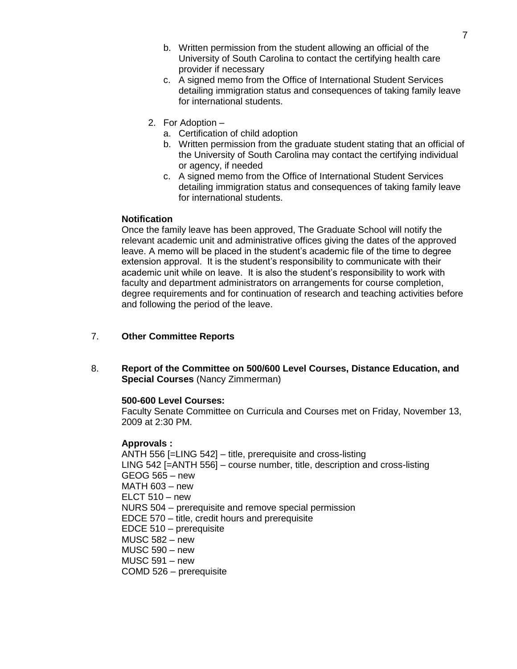- b. Written permission from the student allowing an official of the University of South Carolina to contact the certifying health care provider if necessary
- c. A signed memo from the Office of International Student Services detailing immigration status and consequences of taking family leave for international students.
- 2. For Adoption
	- a. Certification of child adoption
	- b. Written permission from the graduate student stating that an official of the University of South Carolina may contact the certifying individual or agency, if needed
	- c. A signed memo from the Office of International Student Services detailing immigration status and consequences of taking family leave for international students.

## **Notification**

Once the family leave has been approved, The Graduate School will notify the relevant academic unit and administrative offices giving the dates of the approved leave. A memo will be placed in the student's academic file of the time to degree extension approval. It is the student's responsibility to communicate with their academic unit while on leave. It is also the student's responsibility to work with faculty and department administrators on arrangements for course completion, degree requirements and for continuation of research and teaching activities before and following the period of the leave.

## 7. **Other Committee Reports**

8. **Report of the Committee on 500/600 Level Courses, Distance Education, and Special Courses** (Nancy Zimmerman)

## **500-600 Level Courses:**

Faculty Senate Committee on Curricula and Courses met on Friday, November 13, 2009 at 2:30 PM.

## **Approvals :**

ANTH 556 [=LING 542] – title, prerequisite and cross-listing LING 542 [=ANTH 556] – course number, title, description and cross-listing GEOG 565 – new MATH 603 – new  $ELCT$  510 – new NURS 504 – prerequisite and remove special permission EDCE 570 – title, credit hours and prerequisite EDCE 510 – prerequisite MUSC 582 – new MUSC 590 – new MUSC 591 – new COMD 526 – prerequisite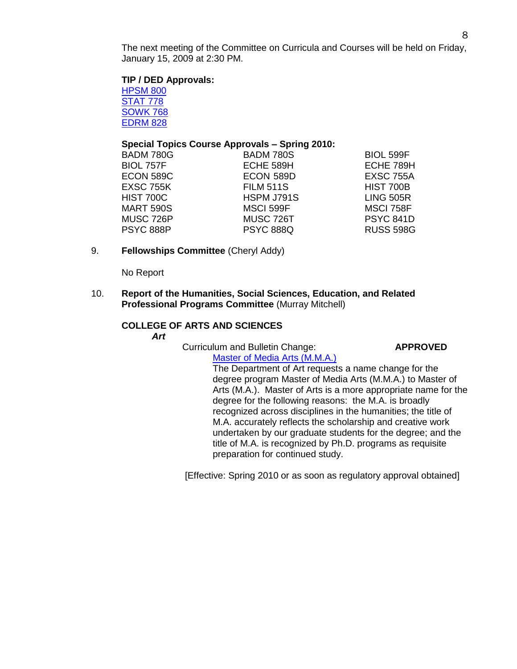The next meeting of the Committee on Curricula and Courses will be held on Friday, January 15, 2009 at 2:30 PM.

**TIP / DED Approvals:**

[HPSM 800](http://gradschool.sc.edu/gradcouncil/09-10_Curricula/TIP%20HSPM%20800.pdf) [STAT 778](http://gradschool.sc.edu/gradcouncil/09-10_Curricula/TIP%20STAT%20778.pdf) [SOWK 768](http://gradschool.sc.edu/gradcouncil/09-10_Curricula/TIP%20SOWK%20768.pdf) [EDRM 828](http://gradschool.sc.edu/gradcouncil/09-10_Curricula/DED%20EDRM%20828.pdf)

## **Special Topics Course Approvals – Spring 2010:**

| <b>BADM 780S</b> | <b>BIOL 599F</b> |
|------------------|------------------|
| ECHE 589H        | ECHE 789H        |
| ECON 589D        | <b>EXSC 755A</b> |
| <b>FILM 511S</b> | HIST 700B        |
| HSPM J791S       | <b>LING 505R</b> |
| <b>MSCI 599F</b> | <b>MSCI 758F</b> |
| MUSC 726T        | <b>PSYC 841D</b> |
| <b>PSYC 888Q</b> | <b>RUSS 598G</b> |
|                  |                  |

9. **Fellowships Committee** (Cheryl Addy)

No Report

10. **Report of the Humanities, Social Sciences, Education, and Related Professional Programs Committee** (Murray Mitchell)

# **COLLEGE OF ARTS AND SCIENCES**

*Art*

Curriculum and Bulletin Change: **APPROVED**

[Master of Media Arts \(M.M.A.\)](http://gradschool.sc.edu/gradcouncil/09-10_Curricula/CBC%20Master%20of%20Media%20Arts.pdf) The Department of Art requests a name change for the degree program Master of Media Arts (M.M.A.) to Master of Arts (M.A.). Master of Arts is a more appropriate name for the degree for the following reasons: the M.A. is broadly recognized across disciplines in the humanities; the title of M.A. accurately reflects the scholarship and creative work undertaken by our graduate students for the degree; and the title of M.A. is recognized by Ph.D. programs as requisite preparation for continued study.

[Effective: Spring 2010 or as soon as regulatory approval obtained]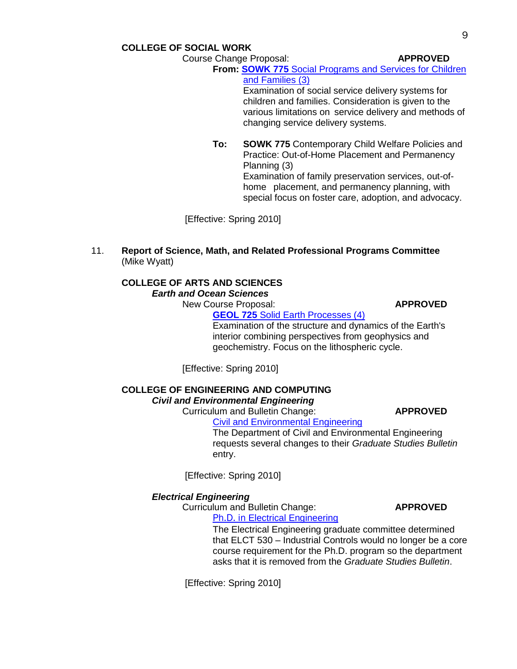**COLLEGE OF SOCIAL WORK**

Course Change Proposal: **APPROVED**

**From: SOWK 775** [Social Programs and Services for Children](http://gradschool.sc.edu/gradcouncil/09-10_Curricula/CCP%20SOWK%20775.pdf)  [and Families \(3\)](http://gradschool.sc.edu/gradcouncil/09-10_Curricula/CCP%20SOWK%20775.pdf)

Examination of social service delivery systems for children and families. Consideration is given to the various limitations on service delivery and methods of changing service delivery systems.

**To: SOWK 775** Contemporary Child Welfare Policies and Practice: Out-of-Home Placement and Permanency Planning (3) Examination of family preservation services, out-of-

home placement, and permanency planning, with special focus on foster care, adoption, and advocacy.

[Effective: Spring 2010]

11. **Report of Science, Math, and Related Professional Programs Committee** (Mike Wyatt)

# **COLLEGE OF ARTS AND SCIENCES** *Earth and Ocean Sciences*

New Course Proposal: **APPROVED GEOL 725** [Solid Earth Processes \(4\)](http://gradschool.sc.edu/gradcouncil/09-10_Curricula/NCP%20GEOL%20725.pdf)

Examination of the structure and dynamics of the Earth's interior combining perspectives from geophysics and geochemistry. Focus on the lithospheric cycle.

[Effective: Spring 2010]

## **COLLEGE OF ENGINEERING AND COMPUTING** *Civil and Environmental Engineering*

Curriculum and Bulletin Change: **APPROVED**

[Civil and Environmental Engineering](http://gradschool.sc.edu/gradcouncil/09-10_Curricula/CBC%20Civil%20and%20Environmental%20Engineering.pdf)

The Department of Civil and Environmental Engineering requests several changes to their *Graduate Studies Bulletin* entry.

[Effective: Spring 2010]

## *Electrical Engineering*

Curriculum and Bulletin Change: **APPROVED** Ph.D. in [Electrical Engineering](http://gradschool.sc.edu/gradcouncil/09-10_Curricula/CBC%20Ph.D.%20in%20Electrical%20Engineering.pdf)

> The Electrical Engineering graduate committee determined that ELCT 530 – Industrial Controls would no longer be a core course requirement for the Ph.D. program so the department asks that it is removed from the *Graduate Studies Bulletin*.

[Effective: Spring 2010]

9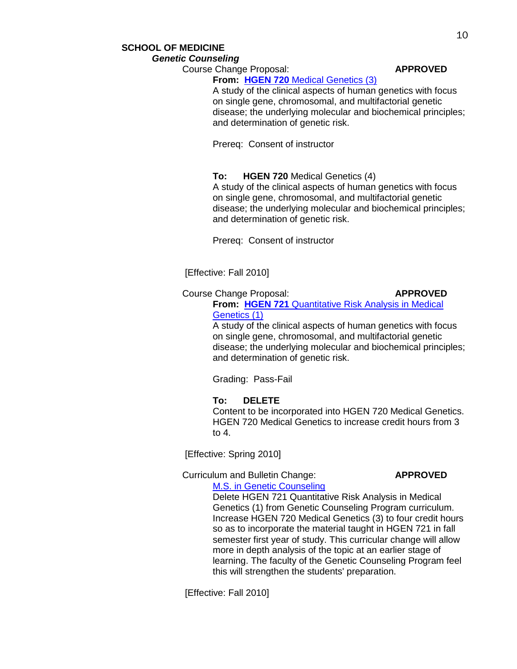# **SCHOOL OF MEDICINE** *Genetic Counseling*

Course Change Proposal: **APPROVED From: HGEN 720** [Medical Genetics \(3\)](http://gradschool.sc.edu/gradcouncil/09-10_Curricula/CCP%20HGEN%20720.pdf)

## A study of the clinical aspects of human genetics with focus on single gene, chromosomal, and multifactorial genetic disease; the underlying molecular and biochemical principles; and determination of genetic risk.

Prereq: Consent of instructor

## **To: HGEN 720** Medical Genetics (4)

A study of the clinical aspects of human genetics with focus on single gene, chromosomal, and multifactorial genetic disease; the underlying molecular and biochemical principles; and determination of genetic risk.

Prereq: Consent of instructor

## [Effective: Fall 2010]

# Course Change Proposal: **APPROVED**

**From: HGEN 721** [Quantitative Risk Analysis in Medical](http://gradschool.sc.edu/gradcouncil/09-10_Curricula/CCP%20HGEN%20721.pdf)  [Genetics \(1\)](http://gradschool.sc.edu/gradcouncil/09-10_Curricula/CCP%20HGEN%20721.pdf)

A study of the clinical aspects of human genetics with focus on single gene, chromosomal, and multifactorial genetic disease; the underlying molecular and biochemical principles; and determination of genetic risk.

Grading: Pass-Fail

**To: DELETE** Content to be incorporated into HGEN 720 Medical Genetics. HGEN 720 Medical Genetics to increase credit hours from 3 to 4.

[Effective: Spring 2010]

#### Curriculum and Bulletin Change: **APPROVED** [M.S. in Genetic Counseling](http://gradschool.sc.edu/gradcouncil/09-10_Curricula/CBC%20HGEN%20721.pdf)

Delete HGEN 721 Quantitative Risk Analysis in Medical Genetics (1) from Genetic Counseling Program curriculum. Increase HGEN 720 Medical Genetics (3) to four credit hours so as to incorporate the material taught in HGEN 721 in fall semester first year of study. This curricular change will allow more in depth analysis of the topic at an earlier stage of learning. The faculty of the Genetic Counseling Program feel this will strengthen the students' preparation.

[Effective: Fall 2010]